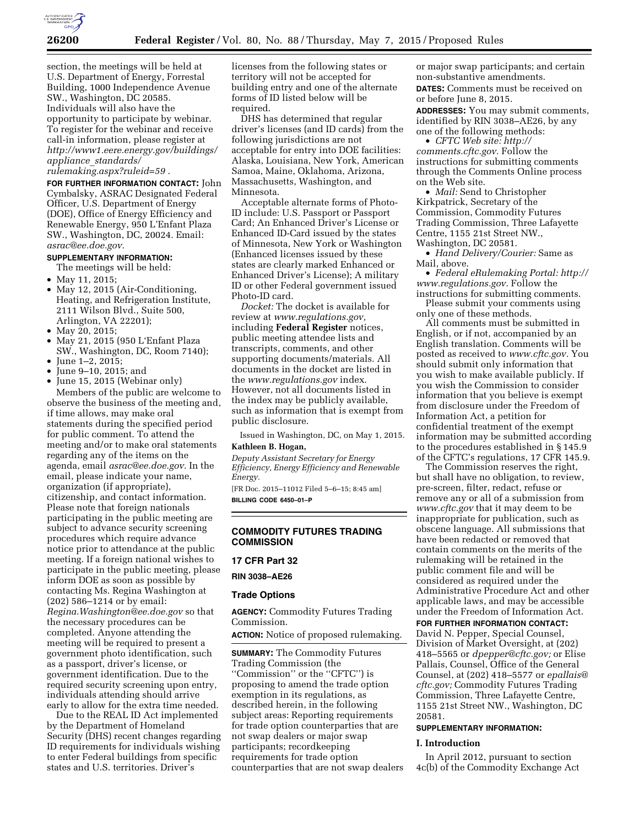

section, the meetings will be held at U.S. Department of Energy, Forrestal Building, 1000 Independence Avenue SW., Washington, DC 20585. Individuals will also have the opportunity to participate by webinar. To register for the webinar and receive call-in information, please register at *[http://www1.eere.energy.gov/buildings/](http://www1.eere.energy.gov/buildings/appliance_standards/rulemaking.aspx?ruleid=59) appliance*\_*[standards/](http://www1.eere.energy.gov/buildings/appliance_standards/rulemaking.aspx?ruleid=59) [rulemaking.aspx?ruleid=59](http://www1.eere.energy.gov/buildings/appliance_standards/rulemaking.aspx?ruleid=59)* .

**FOR FURTHER INFORMATION CONTACT:** John Cymbalsky, ASRAC Designated Federal Officer, U.S. Department of Energy (DOE), Office of Energy Efficiency and Renewable Energy, 950 L'Enfant Plaza SW., Washington, DC, 20024. Email: *[asrac@ee.doe.gov.](mailto:asrac@ee.doe.gov)* 

# **SUPPLEMENTARY INFORMATION:**

The meetings will be held:

- May 11, 2015;
- May 12, 2015 (Air-Conditioning, Heating, and Refrigeration Institute, 2111 Wilson Blvd., Suite 500, Arlington, VA 22201);
- May 20, 2015;
- May 21, 2015 (950 L'Enfant Plaza SW., Washington, DC, Room 7140);
- $June 1-2, 2015;$
- June 9–10, 2015; and
- June 15, 2015 (Webinar only)

Members of the public are welcome to observe the business of the meeting and, if time allows, may make oral statements during the specified period for public comment. To attend the meeting and/or to make oral statements regarding any of the items on the agenda, email *[asrac@ee.doe.gov.](mailto:asrac@ee.doe.gov)* In the email, please indicate your name, organization (if appropriate), citizenship, and contact information. Please note that foreign nationals participating in the public meeting are subject to advance security screening procedures which require advance notice prior to attendance at the public meeting. If a foreign national wishes to participate in the public meeting, please inform DOE as soon as possible by contacting Ms. Regina Washington at (202) 586–1214 or by email: *[Regina.Washington@ee.doe.gov](mailto:Regina.Washington@ee.doe.gov)* so that the necessary procedures can be completed. Anyone attending the meeting will be required to present a government photo identification, such as a passport, driver's license, or government identification. Due to the required security screening upon entry, individuals attending should arrive early to allow for the extra time needed.

Due to the REAL ID Act implemented by the Department of Homeland Security (DHS) recent changes regarding ID requirements for individuals wishing to enter Federal buildings from specific states and U.S. territories. Driver's

licenses from the following states or territory will not be accepted for building entry and one of the alternate forms of ID listed below will be required.

DHS has determined that regular driver's licenses (and ID cards) from the following jurisdictions are not acceptable for entry into DOE facilities: Alaska, Louisiana, New York, American Samoa, Maine, Oklahoma, Arizona, Massachusetts, Washington, and Minnesota.

Acceptable alternate forms of Photo-ID include: U.S. Passport or Passport Card; An Enhanced Driver's License or Enhanced ID-Card issued by the states of Minnesota, New York or Washington (Enhanced licenses issued by these states are clearly marked Enhanced or Enhanced Driver's License); A military ID or other Federal government issued Photo-ID card.

*Docket:* The docket is available for review at *[www.regulations.gov,](http://www.regulations.gov)*  including **Federal Register** notices, public meeting attendee lists and transcripts, comments, and other supporting documents/materials. All documents in the docket are listed in the *[www.regulations.gov](http://www.regulations.gov)* index. However, not all documents listed in the index may be publicly available, such as information that is exempt from public disclosure.

Issued in Washington, DC, on May 1, 2015.

# **Kathleen B. Hogan,**

*Deputy Assistant Secretary for Energy Efficiency, Energy Efficiency and Renewable Energy.* 

[FR Doc. 2015–11012 Filed 5–6–15; 8:45 am] **BILLING CODE 6450–01–P** 

**COMMODITY FUTURES TRADING COMMISSION** 

#### **17 CFR Part 32**

**RIN 3038–AE26** 

#### **Trade Options**

**AGENCY:** Commodity Futures Trading Commission.

**ACTION:** Notice of proposed rulemaking.

**SUMMARY:** The Commodity Futures Trading Commission (the ''Commission'' or the ''CFTC'') is proposing to amend the trade option exemption in its regulations, as described herein, in the following subject areas: Reporting requirements for trade option counterparties that are not swap dealers or major swap participants; recordkeeping requirements for trade option counterparties that are not swap dealers or major swap participants; and certain non-substantive amendments. **DATES:** Comments must be received on or before June 8, 2015.

**ADDRESSES:** You may submit comments, identified by RIN 3038–AE26, by any one of the following methods:

• *CFTC Web site: [http://](http://comments.cftc.gov) [comments.cftc.gov.](http://comments.cftc.gov)* Follow the instructions for submitting comments through the Comments Online process on the Web site.

• *Mail:* Send to Christopher Kirkpatrick, Secretary of the Commission, Commodity Futures Trading Commission, Three Lafayette Centre, 1155 21st Street NW., Washington, DC 20581.

• *Hand Delivery/Courier:* Same as Mail, above.

• *Federal eRulemaking Portal: [http://](http://www.regulations.gov)  [www.regulations.gov.](http://www.regulations.gov)* Follow the instructions for submitting comments.

Please submit your comments using only one of these methods.

All comments must be submitted in English, or if not, accompanied by an English translation. Comments will be posted as received to *[www.cftc.gov.](http://www.cftc.gov)* You should submit only information that you wish to make available publicly. If you wish the Commission to consider information that you believe is exempt from disclosure under the Freedom of Information Act, a petition for confidential treatment of the exempt information may be submitted according to the procedures established in § 145.9 of the CFTC's regulations, 17 CFR 145.9.

The Commission reserves the right, but shall have no obligation, to review, pre-screen, filter, redact, refuse or remove any or all of a submission from *[www.cftc.gov](http://www.cftc.gov)* that it may deem to be inappropriate for publication, such as obscene language. All submissions that have been redacted or removed that contain comments on the merits of the rulemaking will be retained in the public comment file and will be considered as required under the Administrative Procedure Act and other applicable laws, and may be accessible under the Freedom of Information Act.

**FOR FURTHER INFORMATION CONTACT:**  David N. Pepper, Special Counsel,

Division of Market Oversight, at (202) 418–5565 or *[dpepper@cftc.gov;](mailto:dpepper@cftc.gov)* or Elise Pallais, Counsel, Office of the General Counsel, at (202) 418–5577 or *[epallais@](mailto:epallais@cftc.gov) [cftc.gov;](mailto:epallais@cftc.gov)* Commodity Futures Trading Commission, Three Lafayette Centre, 1155 21st Street NW., Washington, DC 20581.

#### **SUPPLEMENTARY INFORMATION:**

#### **I. Introduction**

In April 2012, pursuant to section 4c(b) of the Commodity Exchange Act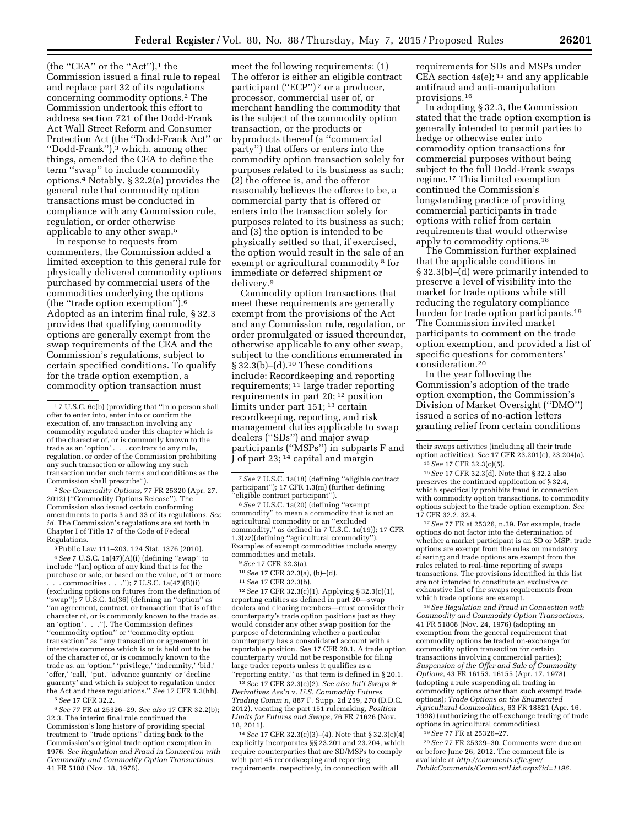(the "CEA" or the "Act"),<sup>1</sup> the Commission issued a final rule to repeal and replace part 32 of its regulations concerning commodity options.2 The Commission undertook this effort to address section 721 of the Dodd-Frank Act Wall Street Reform and Consumer Protection Act (the ''Dodd-Frank Act'' or ''Dodd-Frank''),3 which, among other things, amended the CEA to define the term ''swap'' to include commodity options.4 Notably, § 32.2(a) provides the general rule that commodity option transactions must be conducted in compliance with any Commission rule, regulation, or order otherwise applicable to any other swap.5

In response to requests from commenters, the Commission added a limited exception to this general rule for physically delivered commodity options purchased by commercial users of the commodities underlying the options (the ''trade option exemption'').6 Adopted as an interim final rule, § 32.3 provides that qualifying commodity options are generally exempt from the swap requirements of the CEA and the Commission's regulations, subject to certain specified conditions. To qualify for the trade option exemption, a commodity option transaction must

2*See Commodity Options,* 77 FR 25320 (Apr. 27, 2012) (''Commodity Options Release''). The Commission also issued certain conforming amendments to parts 3 and 33 of its regulations. *See id.* The Commission's regulations are set forth in Chapter I of Title 17 of the Code of Federal Regulations.

3Public Law 111–203, 124 Stat. 1376 (2010). 4*See* 7 U.S.C. 1a(47)(A)(i) (defining ''swap'' to include ''[an] option of any kind that is for the purchase or sale, or based on the value, of 1 or more . commodities . . .");  $7 \text{ U.S.C. } 1a(47)(B)(i)$ (excluding options on futures from the definition of ''swap''); 7 U.S.C. 1a(36) (defining an ''option'' as ''an agreement, contract, or transaction that is of the character of, or is commonly known to the trade as, an 'option' . . .''). The Commission defines ''commodity option'' or ''commodity option transaction'' as ''any transaction or agreement in interstate commerce which is or is held out to be of the character of, or is commonly known to the trade as, an 'option,' 'privilege,' 'indemnity,' 'bid,' 'offer,' 'call,' 'put,' 'advance guaranty' or 'decline guaranty' and which is subject to regulation under the Act and these regulations.'' *See* 17 CFR 1.3(hh). 5*See* 17 CFR 32.2.

6*See* 77 FR at 25326–29. *See also* 17 CFR 32.2(b); 32.3. The interim final rule continued the Commission's long history of providing special treatment to ''trade options'' dating back to the Commission's original trade option exemption in 1976. *See Regulation and Fraud in Connection with Commodity and Commodity Option Transactions,*  41 FR 5108 (Nov. 18, 1976).

meet the following requirements: (1) The offeror is either an eligible contract participant ("ECP") 7 or a producer, processor, commercial user of, or merchant handling the commodity that is the subject of the commodity option transaction, or the products or byproducts thereof (a ''commercial party'') that offers or enters into the commodity option transaction solely for purposes related to its business as such; (2) the offeree is, and the offeror reasonably believes the offeree to be, a commercial party that is offered or enters into the transaction solely for purposes related to its business as such; and (3) the option is intended to be physically settled so that, if exercised, the option would result in the sale of an exempt or agricultural commodity 8 for immediate or deferred shipment or delivery.9

Commodity option transactions that meet these requirements are generally exempt from the provisions of the Act and any Commission rule, regulation, or order promulgated or issued thereunder, otherwise applicable to any other swap, subject to the conditions enumerated in § 32.3(b)–(d).10 These conditions include: Recordkeeping and reporting requirements; 11 large trader reporting requirements in part 20; 12 position limits under part 151; 13 certain recordkeeping, reporting, and risk management duties applicable to swap dealers (''SDs'') and major swap participants (''MSPs'') in subparts F and J of part 23; 14 capital and margin

8*See* 7 U.S.C. 1a(20) (defining ''exempt commodity'' to mean a commodity that is not an agricultural commodity or an ''excluded commodity,'' as defined in 7 U.S.C. 1a(19)); 17 CFR 1.3(zz)(defining ''agricultural commodity''). Examples of exempt commodities include energy commodities and metals.

9*See* 17 CFR 32.3(a).

10*See* 17 CFR 32.3(a), (b)–(d).

11*See* 17 CFR 32.3(b).

12*See* 17 CFR 32.3(c)(1). Applying § 32.3(c)(1), reporting entities as defined in part 20—swap dealers and clearing members—must consider their counterparty's trade option positions just as they would consider any other swap position for the purpose of determining whether a particular counterparty has a consolidated account with a reportable position. *See* 17 CFR 20.1. A trade option counterparty would not be responsible for filing large trader reports unless it qualifies as a ''reporting entity,'' as that term is defined in § 20.1.

13*See* 17 CFR 32.3(c)(2). *See also Int'l Swaps & Derivatives Ass'n* v. *U.S. Commodity Futures Trading Comm'n,* 887 F. Supp. 2d 259, 270 (D.D.C. 2012), vacating the part 151 rulemaking, *Position Limits for Futures and Swaps,* 76 FR 71626 (Nov. 18, 2011).

14*See* 17 CFR 32.3(c)(3)–(4). Note that § 32.3(c)(4) explicitly incorporates §§ 23.201 and 23.204, which require counterparties that are SD/MSPs to comply with part 45 recordkeeping and reporting requirements, respectively, in connection with all

requirements for SDs and MSPs under CEA section  $4s(e)$ ; <sup>15</sup> and any applicable antifraud and anti-manipulation provisions.16

In adopting § 32.3, the Commission stated that the trade option exemption is generally intended to permit parties to hedge or otherwise enter into commodity option transactions for commercial purposes without being subject to the full Dodd-Frank swaps regime.17 This limited exemption continued the Commission's longstanding practice of providing commercial participants in trade options with relief from certain requirements that would otherwise apply to commodity options.<sup>18</sup>

The Commission further explained that the applicable conditions in § 32.3(b)–(d) were primarily intended to preserve a level of visibility into the market for trade options while still reducing the regulatory compliance burden for trade option participants.19 The Commission invited market participants to comment on the trade option exemption, and provided a list of specific questions for commenters' consideration.20

In the year following the Commission's adoption of the trade option exemption, the Commission's Division of Market Oversight (''DMO'') issued a series of no-action letters granting relief from certain conditions

16*See* 17 CFR 32.3(d). Note that § 32.2 also preserves the continued application of § 32.4, which specifically prohibits fraud in connection with commodity option transactions, to commodity options subject to the trade option exemption. *See*  17 CFR 32.2, 32.4.

17*See* 77 FR at 25326, n.39. For example, trade options do not factor into the determination of whether a market participant is an SD or MSP; trade options are exempt from the rules on mandatory clearing; and trade options are exempt from the rules related to real-time reporting of swaps transactions. The provisions identified in this list are not intended to constitute an exclusive or exhaustive list of the swaps requirements from which trade options are exempt.

18*See Regulation and Fraud in Connection with Commodity and Commodity Option Transactions,*  41 FR 51808 (Nov. 24, 1976) (adopting an exemption from the general requirement that commodity options be traded on-exchange for commodity option transaction for certain transactions involving commercial parties); *Suspension of the Offer and Sale of Commodity Options,* 43 FR 16153, 16155 (Apr. 17, 1978) (adopting a rule suspending all trading in commodity options other than such exempt trade options); *Trade Options on the Enumerated Agricultural Commodities,* 63 FR 18821 (Apr. 16, 1998) (authorizing the off-exchange trading of trade options in agricultural commodities).

19*See* 77 FR at 25326–27.

20*See* 77 FR 25329–30. Comments were due on or before June 26, 2012. The comment file is available at *[http://comments.cftc.gov/](http://comments.cftc.gov/PublicComments/CommentList.aspx?id=1196) [PublicComments/CommentList.aspx?id=1196.](http://comments.cftc.gov/PublicComments/CommentList.aspx?id=1196)* 

<sup>1</sup> 7 U.S.C. 6c(b) (providing that ''[n]o person shall offer to enter into, enter into or confirm the execution of, any transaction involving any commodity regulated under this chapter which is of the character of, or is commonly known to the trade as an 'option' . . . contrary to any rule, regulation, or order of the Commission prohibiting any such transaction or allowing any such transaction under such terms and conditions as the Commission shall prescribe'').

<sup>7</sup>*See* 7 U.S.C. 1a(18) (defining ''eligible contract participant''); 17 CFR 1.3(m) (further defining 'eligible contract participant'').

their swaps activities (including all their trade option activities). *See* 17 CFR 23.201(c), 23.204(a). 15*See* 17 CFR 32.3(c)(5).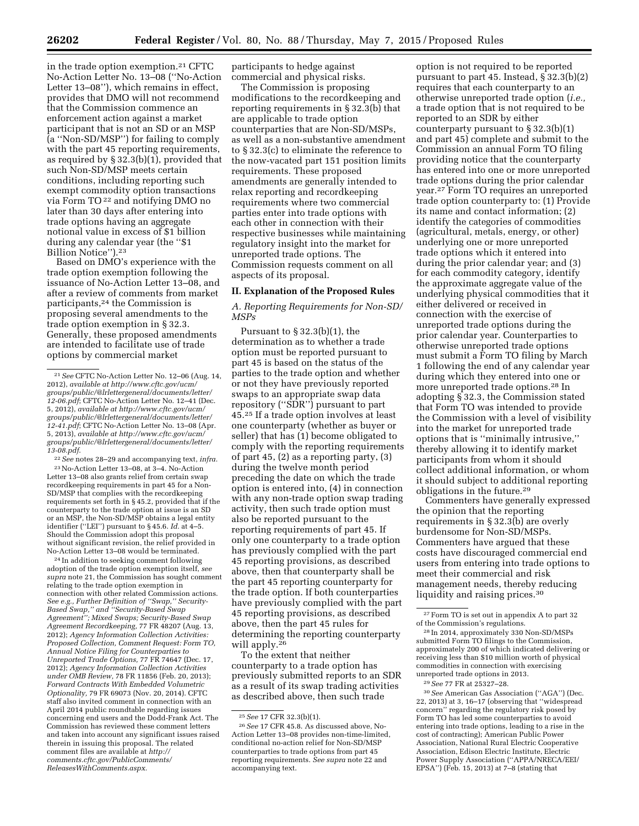in the trade option exemption.21 CFTC No-Action Letter No. 13–08 (''No-Action Letter 13–08''), which remains in effect, provides that DMO will not recommend that the Commission commence an enforcement action against a market participant that is not an SD or an MSP (a ''Non-SD/MSP'') for failing to comply with the part 45 reporting requirements, as required by § 32.3(b)(1), provided that such Non-SD/MSP meets certain conditions, including reporting such exempt commodity option transactions via Form TO 22 and notifying DMO no later than 30 days after entering into trade options having an aggregate notional value in excess of \$1 billion during any calendar year (the ''\$1 Billion Notice'').23

Based on DMO's experience with the trade option exemption following the issuance of No-Action Letter 13–08, and after a review of comments from market participants,24 the Commission is proposing several amendments to the trade option exemption in § 32.3. Generally, these proposed amendments are intended to facilitate use of trade options by commercial market

22*See* notes 28–29 and accompanying text, *infra.*  23No-Action Letter 13–08, at 3–4. No-Action Letter 13–08 also grants relief from certain swap recordkeeping requirements in part 45 for a Non-SD/MSP that complies with the recordkeeping requirements set forth in § 45.2, provided that if the counterparty to the trade option at issue is an SD or an MSP, the Non-SD/MSP obtains a legal entity identifier (''LEI'') pursuant to § 45.6. *Id.* at 4–5. Should the Commission adopt this proposal without significant revision, the relief provided in No-Action Letter 13–08 would be terminated.

24 In addition to seeking comment following adoption of the trade option exemption itself, *see supra* note 21, the Commission has sought comment relating to the trade option exemption in connection with other related Commission actions. *See e.g., Further Definition of ''Swap,'' Security-Based Swap,'' and ''Security-Based Swap Agreement''; Mixed Swaps; Security-Based Swap Agreement Recordkeeping,* 77 FR 48207 (Aug. 13, 2012); *Agency Information Collection Activities: Proposed Collection, Comment Request: Form TO, Annual Notice Filing for Counterparties to Unreported Trade Options,* 77 FR 74647 (Dec. 17, 2012); *Agency Information Collection Activities under OMB Review,* 78 FR 11856 (Feb. 20, 2013); *Forward Contracts With Embedded Volumetric Optionality,* 79 FR 69073 (Nov. 20, 2014). CFTC staff also invited comment in connection with an April 2014 public roundtable regarding issues concerning end users and the Dodd-Frank Act. The Commission has reviewed these comment letters and taken into account any significant issues raised therein in issuing this proposal. The related comment files are available at *[http://](http://comments.cftc.gov/PublicComments/ReleasesWithComments.aspx) [comments.cftc.gov/PublicComments/](http://comments.cftc.gov/PublicComments/ReleasesWithComments.aspx) [ReleasesWithComments.aspx.](http://comments.cftc.gov/PublicComments/ReleasesWithComments.aspx)* 

participants to hedge against commercial and physical risks.

The Commission is proposing modifications to the recordkeeping and reporting requirements in § 32.3(b) that are applicable to trade option counterparties that are Non-SD/MSPs, as well as a non-substantive amendment to § 32.3(c) to eliminate the reference to the now-vacated part 151 position limits requirements. These proposed amendments are generally intended to relax reporting and recordkeeping requirements where two commercial parties enter into trade options with each other in connection with their respective businesses while maintaining regulatory insight into the market for unreported trade options. The Commission requests comment on all aspects of its proposal.

#### **II. Explanation of the Proposed Rules**

## *A. Reporting Requirements for Non-SD/ MSPs*

Pursuant to § 32.3(b)(1), the determination as to whether a trade option must be reported pursuant to part 45 is based on the status of the parties to the trade option and whether or not they have previously reported swaps to an appropriate swap data repository (''SDR'') pursuant to part 45.25 If a trade option involves at least one counterparty (whether as buyer or seller) that has (1) become obligated to comply with the reporting requirements of part 45, (2) as a reporting party, (3) during the twelve month period preceding the date on which the trade option is entered into, (4) in connection with any non-trade option swap trading activity, then such trade option must also be reported pursuant to the reporting requirements of part 45. If only one counterparty to a trade option has previously complied with the part 45 reporting provisions, as described above, then that counterparty shall be the part 45 reporting counterparty for the trade option. If both counterparties have previously complied with the part 45 reporting provisions, as described above, then the part 45 rules for determining the reporting counterparty will apply.26

To the extent that neither counterparty to a trade option has previously submitted reports to an SDR as a result of its swap trading activities as described above, then such trade

option is not required to be reported pursuant to part 45. Instead, § 32.3(b)(2) requires that each counterparty to an otherwise unreported trade option (*i.e.,*  a trade option that is not required to be reported to an SDR by either counterparty pursuant to § 32.3(b)(1) and part 45) complete and submit to the Commission an annual Form TO filing providing notice that the counterparty has entered into one or more unreported trade options during the prior calendar year.27 Form TO requires an unreported trade option counterparty to: (1) Provide its name and contact information; (2) identify the categories of commodities (agricultural, metals, energy, or other) underlying one or more unreported trade options which it entered into during the prior calendar year; and (3) for each commodity category, identify the approximate aggregate value of the underlying physical commodities that it either delivered or received in connection with the exercise of unreported trade options during the prior calendar year. Counterparties to otherwise unreported trade options must submit a Form TO filing by March 1 following the end of any calendar year during which they entered into one or more unreported trade options.28 In adopting § 32.3, the Commission stated that Form TO was intended to provide the Commission with a level of visibility into the market for unreported trade options that is ''minimally intrusive,'' thereby allowing it to identify market participants from whom it should collect additional information, or whom it should subject to additional reporting obligations in the future.29

Commenters have generally expressed the opinion that the reporting requirements in § 32.3(b) are overly burdensome for Non-SD/MSPs. Commenters have argued that these costs have discouraged commercial end users from entering into trade options to meet their commercial and risk management needs, thereby reducing liquidity and raising prices.<sup>30</sup>

30*See* American Gas Association (''AGA'') (Dec. 22, 2013) at 3, 16–17 (observing that ''widespread concern" regarding the regulatory risk posed by Form TO has led some counterparties to avoid entering into trade options, leading to a rise in the cost of contracting); American Public Power Association, National Rural Electric Cooperative Association, Edison Electric Institute, Electric Power Supply Association (''APPA/NRECA/EEI/ EPSA") ( $\overrightarrow{Feb}$ . 15, 2013) at 7-8 (stating that

<sup>21</sup>*See* CFTC No-Action Letter No. 12–06 (Aug. 14, 2012), *available a[t http://www.cftc.gov/ucm/](http://www.cftc.gov/ucm/groups/public/@lrlettergeneral/documents/letter/12-06.pdf) [groups/public/@lrlettergeneral/documents/letter/](http://www.cftc.gov/ucm/groups/public/@lrlettergeneral/documents/letter/12-06.pdf) [12-06.pdf](http://www.cftc.gov/ucm/groups/public/@lrlettergeneral/documents/letter/12-06.pdf)*; CFTC No-Action Letter No. 12–41 (Dec. 5, 2012), *available a[t http://www.cftc.gov/ucm/](http://www.cftc.gov/ucm/groups/public/@lrlettergeneral/documents/letter/12-41.pdf) [groups/public/@lrlettergeneral/documents/letter/](http://www.cftc.gov/ucm/groups/public/@lrlettergeneral/documents/letter/12-41.pdf) [12-41.pdf](http://www.cftc.gov/ucm/groups/public/@lrlettergeneral/documents/letter/12-41.pdf)*; CFTC No-Action Letter No. 13–08 (Apr. 5, 2013), *available at [http://www.cftc.gov/ucm/](http://www.cftc.gov/ucm/groups/public/@lrlettergeneral/documents/letter/13-08.pdf) [groups/public/@lrlettergeneral/documents/letter/](http://www.cftc.gov/ucm/groups/public/@lrlettergeneral/documents/letter/13-08.pdf) [13-08.pdf](http://www.cftc.gov/ucm/groups/public/@lrlettergeneral/documents/letter/13-08.pdf)*.

<sup>25</sup>*See* 17 CFR 32.3(b)(1).

<sup>26</sup>*See* 17 CFR 45.8. As discussed above, No-Action Letter 13–08 provides non-time-limited, conditional no-action relief for Non-SD/MSP counterparties to trade options from part 45 reporting requirements. *See supra* note 22 and accompanying text.

<sup>27</sup>Form TO is set out in appendix A to part 32 of the Commission's regulations.

<sup>28</sup> In 2014, approximately 330 Non-SD/MSPs submitted Form TO filings to the Commission, approximately 200 of which indicated delivering or receiving less than \$10 million worth of physical commodities in connection with exercising unreported trade options in 2013.

<sup>29</sup>*See* 77 FR at 25327–28.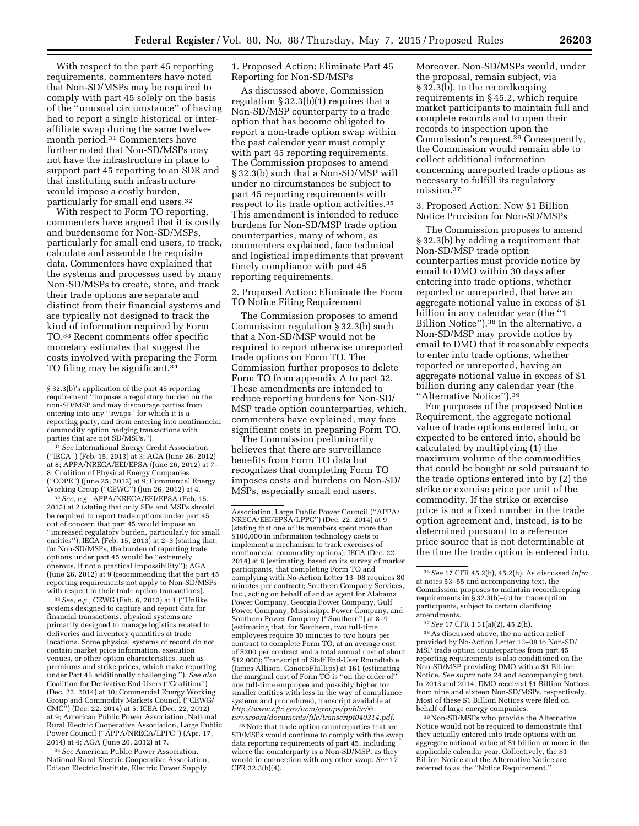With respect to the part 45 reporting requirements, commenters have noted that Non-SD/MSPs may be required to comply with part 45 solely on the basis of the ''unusual circumstance'' of having had to report a single historical or interaffiliate swap during the same twelvemonth period.31 Commenters have further noted that Non-SD/MSPs may not have the infrastructure in place to support part 45 reporting to an SDR and that instituting such infrastructure would impose a costly burden, particularly for small end users.32

With respect to Form TO reporting, commenters have argued that it is costly and burdensome for Non-SD/MSPs, particularly for small end users, to track, calculate and assemble the requisite data. Commenters have explained that the systems and processes used by many Non-SD/MSPs to create, store, and track their trade options are separate and distinct from their financial systems and are typically not designed to track the kind of information required by Form TO.33 Recent comments offer specific monetary estimates that suggest the costs involved with preparing the Form TO filing may be significant.34

31*See* International Energy Credit Association (''IECA'') (Feb. 15, 2013) at 3; AGA (June 26, 2012) at 8; APPA/NRECA/EEI/EPSA (June 26, 2012) at 7– 8; Coalition of Physical Energy Companies (''COPE'') (June 25, 2012) at 9; Commercial Energy Working Group (''CEWG'') (Jun 26, 2012) at 4.

32*See, e.g.,* APPA/NRECA/EEI/EPSA (Feb. 15, 2013) at 2 (stating that only SDs and MSPs should be required to report trade options under part 45 out of concern that part 45 would impose an ''increased regulatory burden, particularly for small entities''); IECA (Feb. 15, 2013) at 2–3 (stating that, for Non-SD/MSPs, the burden of reporting trade options under part 45 would be ''extremely onerous, if not a practical impossibility''); AGA (June 26, 2012) at 9 (recommending that the part 45 reporting requirements not apply to Non-SD/MSPs with respect to their trade option transactions).

33*See, e.g.,* CEWG (Feb. 6, 2013) at 1 (''Unlike systems designed to capture and report data for financial transactions, physical systems are primarily designed to manage logistics related to deliveries and inventory quantities at trade locations. Some physical systems of record do not contain market price information, execution venues, or other option characteristics, such as premiums and strike prices, which make reporting under Part 45 additionally challenging.''). *See also*  Coalition for Derivative End Users (''Coalition'') (Dec. 22, 2014) at 10; Commercial Energy Working Group and Commodity Markets Council (''CEWG/ CMC'') (Dec. 22, 2014) at 5; ICEA (Dec. 22, 2012) at 9; American Public Power Association, National Rural Electric Cooperative Association, Large Public Power Council (''APPA/NRECA/LPPC'') (Apr. 17, 2014) at 4; AGA (June 26, 2012) at 7.

34*See* American Public Power Association, National Rural Electric Cooperative Association, Edison Electric Institute, Electric Power Supply

1. Proposed Action: Eliminate Part 45 Reporting for Non-SD/MSPs

As discussed above, Commission regulation § 32.3(b)(1) requires that a Non-SD/MSP counterparty to a trade option that has become obligated to report a non-trade option swap within the past calendar year must comply with part 45 reporting requirements. The Commission proposes to amend § 32.3(b) such that a Non-SD/MSP will under no circumstances be subject to part 45 reporting requirements with respect to its trade option activities.<sup>35</sup> This amendment is intended to reduce burdens for Non-SD/MSP trade option counterparties, many of whom, as commenters explained, face technical and logistical impediments that prevent timely compliance with part 45 reporting requirements.

2. Proposed Action: Eliminate the Form TO Notice Filing Requirement

The Commission proposes to amend Commission regulation § 32.3(b) such that a Non-SD/MSP would not be required to report otherwise unreported trade options on Form TO. The Commission further proposes to delete Form TO from appendix A to part 32. These amendments are intended to reduce reporting burdens for Non-SD/ MSP trade option counterparties, which, commenters have explained, may face significant costs in preparing Form TO.

The Commission preliminarily believes that there are surveillance benefits from Form TO data but recognizes that completing Form TO imposes costs and burdens on Non-SD/ MSPs, especially small end users.

<sup>35</sup> Note that trade option counterparties that are SD/MSPs would continue to comply with the swap data reporting requirements of part 45, including where the counterparty is a Non-SD/MSP, as they would in connection with any other swap. *See* 17 CFR 32.3(b)(4).

Moreover, Non-SD/MSPs would, under the proposal, remain subject, via § 32.3(b), to the recordkeeping requirements in § 45.2, which require market participants to maintain full and complete records and to open their records to inspection upon the Commission's request.36 Consequently, the Commission would remain able to collect additional information concerning unreported trade options as necessary to fulfill its regulatory mission.37

3. Proposed Action: New \$1 Billion Notice Provision for Non-SD/MSPs

The Commission proposes to amend § 32.3(b) by adding a requirement that Non-SD/MSP trade option counterparties must provide notice by email to DMO within 30 days after entering into trade options, whether reported or unreported, that have an aggregate notional value in excess of \$1 billion in any calendar year (the ''1 Billion Notice'').38 In the alternative, a Non-SD/MSP may provide notice by email to DMO that it reasonably expects to enter into trade options, whether reported or unreported, having an aggregate notional value in excess of \$1 billion during any calendar year (the ''Alternative Notice'').39

For purposes of the proposed Notice Requirement, the aggregate notional value of trade options entered into, or expected to be entered into, should be calculated by multiplying (1) the maximum volume of the commodities that could be bought or sold pursuant to the trade options entered into by (2) the strike or exercise price per unit of the commodity. If the strike or exercise price is not a fixed number in the trade option agreement and, instead, is to be determined pursuant to a reference price source that is not determinable at the time the trade option is entered into,

38As discussed above, the no-action relief provided by No-Action Letter 13–08 to Non-SD/ MSP trade option counterparties from part 45 reporting requirements is also conditioned on the Non-SD/MSP providing DMO with a \$1 Billion Notice. *See supra* note 24 and accompanying text. In 2013 and 2014, DMO received \$1 Billion Notices from nine and sixteen Non-SD/MSPs, respectively. Most of these \$1 Billion Notices were filed on behalf of large energy companies.

39Non-SD/MSPs who provide the Alternative Notice would not be required to demonstrate that they actually entered into trade options with an aggregate notional value of \$1 billion or more in the applicable calendar year. Collectively, the \$1 Billion Notice and the Alternative Notice are referred to as the ''Notice Requirement.''

<sup>§ 32.3(</sup>b)'s application of the part 45 reporting requirement ''imposes a regulatory burden on the non-SD/MSP and may discourage parties from entering into any ''swaps'' for which it is a reporting party, and from entering into nonfinancial commodity option hedging transactions with parties that are not SD/MSPs.'').

Association, Large Public Power Council (''APPA/ NRECA/EEI/EPSA/LPPC'') (Dec. 22, 2014) at 9 (stating that one of its members spent more than \$100,000 in information technology costs to implement a mechanism to track exercises of nonfinancial commodity options); IECA (Dec. 22, 2014) at 8 (estimating, based on its survey of market participants, that completing Form TO and complying with No-Action Letter 13–08 requires 80 minutes per contract); Southern Company Services, Inc., acting on behalf of and as agent for Alabama Power Company, Georgia Power Company, Gulf Power Company, Mississippi Power Company, and Southern Power Company (''Southern'') at 8–9 (estimating that, for Southern, two full-time employees require 30 minutes to two hours per contract to complete Form TO, at an average cost of \$200 per contract and a total annual cost of about \$12,000); Transcript of Staff End-User Roundtable (James Allison, ConocoPhillips) at 161 (estimating the marginal cost of Form TO is ''on the order of'' one full-time employee and possibly higher for smaller entities with less in the way of compliance systems and procedures), transcript available at *[http://www.cftc.gov/ucm/groups/public/@](http://www.cftc.gov/ucm/groups/public/@newsroom/documents/file/transcript040314.pdf) [newsroom/documents/file/transcript040314.pdf.](http://www.cftc.gov/ucm/groups/public/@newsroom/documents/file/transcript040314.pdf)* 

<sup>36</sup>*See* 17 CFR 45.2(b), 45.2(h). As discussed *infra*  at notes 53–55 and accompanying text, the Commission proposes to maintain recordkeeping requirements in § 32.3(b)–(c) for trade option participants, subject to certain clarifying amendments.

<sup>37</sup>*See* 17 CFR 1.31(a)(2), 45.2(h).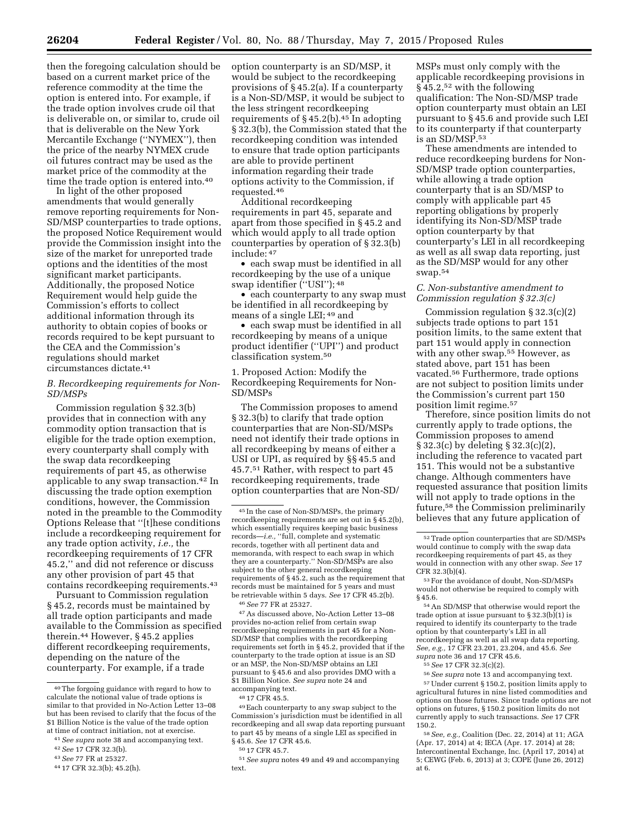then the foregoing calculation should be based on a current market price of the reference commodity at the time the option is entered into. For example, if the trade option involves crude oil that is deliverable on, or similar to, crude oil that is deliverable on the New York Mercantile Exchange (''NYMEX''), then the price of the nearby NYMEX crude oil futures contract may be used as the market price of the commodity at the time the trade option is entered into.<sup>40</sup>

In light of the other proposed amendments that would generally remove reporting requirements for Non-SD/MSP counterparties to trade options, the proposed Notice Requirement would provide the Commission insight into the size of the market for unreported trade options and the identities of the most significant market participants. Additionally, the proposed Notice Requirement would help guide the Commission's efforts to collect additional information through its authority to obtain copies of books or records required to be kept pursuant to the CEA and the Commission's regulations should market circumstances dictate.41

### *B. Recordkeeping requirements for Non-SD/MSPs*

Commission regulation § 32.3(b) provides that in connection with any commodity option transaction that is eligible for the trade option exemption, every counterparty shall comply with the swap data recordkeeping requirements of part 45, as otherwise applicable to any swap transaction.42 In discussing the trade option exemption conditions, however, the Commission noted in the preamble to the Commodity Options Release that ''[t]hese conditions include a recordkeeping requirement for any trade option activity, *i.e.,* the recordkeeping requirements of 17 CFR 45.2,'' and did not reference or discuss any other provision of part 45 that contains recordkeeping requirements.43

Pursuant to Commission regulation § 45.2, records must be maintained by all trade option participants and made available to the Commission as specified therein.44 However, § 45.2 applies different recordkeeping requirements, depending on the nature of the counterparty. For example, if a trade

option counterparty is an SD/MSP, it would be subject to the recordkeeping provisions of § 45.2(a). If a counterparty is a Non-SD/MSP, it would be subject to the less stringent recordkeeping requirements of  $\S 45.2(b)$ .<sup>45</sup> In adopting § 32.3(b), the Commission stated that the recordkeeping condition was intended to ensure that trade option participants are able to provide pertinent information regarding their trade options activity to the Commission, if requested.46

Additional recordkeeping requirements in part 45, separate and apart from those specified in § 45.2 and which would apply to all trade option counterparties by operation of § 32.3(b) include: 47

• each swap must be identified in all recordkeeping by the use of a unique swap identifier (''USI''); 48

• each counterparty to any swap must be identified in all recordkeeping by means of a single LEI; 49 and

• each swap must be identified in all recordkeeping by means of a unique product identifier (''UPI'') and product classification system.50

1. Proposed Action: Modify the Recordkeeping Requirements for Non-SD/MSPs

The Commission proposes to amend § 32.3(b) to clarify that trade option counterparties that are Non-SD/MSPs need not identify their trade options in all recordkeeping by means of either a USI or UPI, as required by §§ 45.5 and 45.7.51 Rather, with respect to part 45 recordkeeping requirements, trade option counterparties that are Non-SD/

47As discussed above, No-Action Letter 13–08 provides no-action relief from certain swap recordkeeping requirements in part 45 for a Non-SD/MSP that complies with the recordkeeping requirements set forth in § 45.2, provided that if the counterparty to the trade option at issue is an SD or an MSP, the Non-SD/MSP obtains an LEI pursuant to § 45.6 and also provides DMO with a \$1 Billion Notice. *See supra* note 24 and accompanying text.

51*See supra* notes 49 and 49 and accompanying text.

MSPs must only comply with the applicable recordkeeping provisions in § 45.2,52 with the following qualification: The Non-SD/MSP trade option counterparty must obtain an LEI pursuant to § 45.6 and provide such LEI to its counterparty if that counterparty is an SD/MSP.53

These amendments are intended to reduce recordkeeping burdens for Non-SD/MSP trade option counterparties, while allowing a trade option counterparty that is an SD/MSP to comply with applicable part 45 reporting obligations by properly identifying its Non-SD/MSP trade option counterparty by that counterparty's LEI in all recordkeeping as well as all swap data reporting, just as the SD/MSP would for any other swap.54

### *C. Non-substantive amendment to Commission regulation § 32.3(c)*

Commission regulation § 32.3(c)(2) subjects trade options to part 151 position limits, to the same extent that part 151 would apply in connection with any other swap.<sup>55</sup> However, as stated above, part 151 has been vacated.56 Furthermore, trade options are not subject to position limits under the Commission's current part 150 position limit regime.57

Therefore, since position limits do not currently apply to trade options, the Commission proposes to amend § 32.3(c) by deleting § 32.3(c)(2), including the reference to vacated part 151. This would not be a substantive change. Although commenters have requested assurance that position limits will not apply to trade options in the future,58 the Commission preliminarily believes that any future application of

54An SD/MSP that otherwise would report the trade option at issue pursuant to  $\S 32.3(b)(1)$  is required to identify its counterparty to the trade option by that counterparty's LEI in all recordkeeping as well as all swap data reporting. *See, e.g.,* 17 CFR 23.201, 23.204, and 45.6. *See supra* note 36 and 17 CFR 45.6.

55*See* 17 CFR 32.3(c)(2).

56*See supra* note 13 and accompanying text. 57Under current § 150.2, position limits apply to agricultural futures in nine listed commodities and options on those futures. Since trade options are not options on futures, § 150.2 position limits do not currently apply to such transactions. *See* 17 CFR 150.2.

58*See, e.g.,* Coalition (Dec. 22, 2014) at 11; AGA (Apr. 17, 2014) at 4; IECA (Apr. 17. 2014) at 28; Intercontinental Exchange, Inc. (April 17, 2014) at 5; CEWG (Feb. 6, 2013) at 3; COPE (June 26, 2012) at 6.

<sup>40</sup>The forgoing guidance with regard to how to calculate the notional value of trade options is similar to that provided in No-Action Letter 13–08 but has been revised to clarify that the focus of the \$1 Billion Notice is the value of the trade option at time of contract initiation, not at exercise.

<sup>41</sup>*See supra* note 38 and accompanying text.

<sup>42</sup>*See* 17 CFR 32.3(b).

<sup>43</sup>*See* 77 FR at 25327.

<sup>44</sup> 17 CFR 32.3(b); 45.2(h).

<sup>45</sup> In the case of Non-SD/MSPs, the primary recordkeeping requirements are set out in § 45.2(b), which essentially requires keeping basic busines records—*i.e.,* ''full, complete and systematic records, together with all pertinent data and memoranda, with respect to each swap in which they are a counterparty.'' Non-SD/MSPs are also subject to the other general recordkeeping requirements of § 45.2, such as the requirement that records must be maintained for 5 years and must be retrievable within 5 days. *See* 17 CFR 45.2(b). 46*See* 77 FR at 25327.

<sup>48</sup> 17 CFR 45.5.

<sup>49</sup>Each counterparty to any swap subject to the Commission's jurisdiction must be identified in all recordkeeping and all swap data reporting pursuant to part 45 by means of a single LEI as specified in § 45.6. *See* 17 CFR 45.6.

<sup>50</sup> 17 CFR 45.7.

 $^{52}\mathrm{Trade}$  option counterparties that are SD/MSPs would continue to comply with the swap data recordkeeping requirements of part 45, as they would in connection with any other swap. *See* 17 CFR 32.3(b)(4).

<sup>53</sup>For the avoidance of doubt, Non-SD/MSPs would not otherwise be required to comply with § 45.6.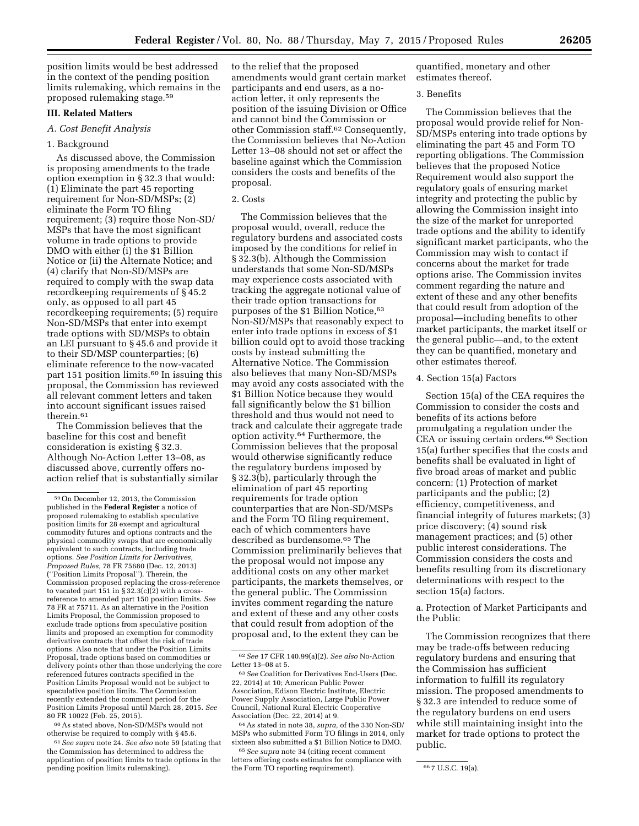position limits would be best addressed in the context of the pending position limits rulemaking, which remains in the proposed rulemaking stage.59

### **III. Related Matters**

### *A. Cost Benefit Analysis*

### 1. Background

As discussed above, the Commission is proposing amendments to the trade option exemption in § 32.3 that would: (1) Eliminate the part 45 reporting requirement for Non-SD/MSPs; (2) eliminate the Form TO filing requirement; (3) require those Non-SD/ MSPs that have the most significant volume in trade options to provide DMO with either (i) the \$1 Billion Notice or (ii) the Alternate Notice; and (4) clarify that Non-SD/MSPs are required to comply with the swap data recordkeeping requirements of § 45.2 only, as opposed to all part 45 recordkeeping requirements; (5) require Non-SD/MSPs that enter into exempt trade options with SD/MSPs to obtain an LEI pursuant to § 45.6 and provide it to their SD/MSP counterparties; (6) eliminate reference to the now-vacated part 151 position limits.60 In issuing this proposal, the Commission has reviewed all relevant comment letters and taken into account significant issues raised therein.61

The Commission believes that the baseline for this cost and benefit consideration is existing § 32.3. Although No-Action Letter 13–08, as discussed above, currently offers noaction relief that is substantially similar

 $^{60}\mathrm{As}$  stated above, Non-SD/MSPs would not otherwise be required to comply with § 45.6.

61*See supra* note 24. *See also* note 59 (stating that the Commission has determined to address the application of position limits to trade options in the pending position limits rulemaking).

to the relief that the proposed amendments would grant certain market participants and end users, as a noaction letter, it only represents the position of the issuing Division or Office and cannot bind the Commission or other Commission staff.62 Consequently, the Commission believes that No-Action Letter 13–08 should not set or affect the baseline against which the Commission considers the costs and benefits of the proposal.

### 2. Costs

The Commission believes that the proposal would, overall, reduce the regulatory burdens and associated costs imposed by the conditions for relief in § 32.3(b). Although the Commission understands that some Non-SD/MSPs may experience costs associated with tracking the aggregate notional value of their trade option transactions for purposes of the \$1 Billion Notice, 63 Non-SD/MSPs that reasonably expect to enter into trade options in excess of \$1 billion could opt to avoid those tracking costs by instead submitting the Alternative Notice. The Commission also believes that many Non-SD/MSPs may avoid any costs associated with the \$1 Billion Notice because they would fall significantly below the \$1 billion threshold and thus would not need to track and calculate their aggregate trade option activity.64 Furthermore, the Commission believes that the proposal would otherwise significantly reduce the regulatory burdens imposed by § 32.3(b), particularly through the elimination of part 45 reporting requirements for trade option counterparties that are Non-SD/MSPs and the Form TO filing requirement, each of which commenters have described as burdensome.65 The Commission preliminarily believes that the proposal would not impose any additional costs on any other market participants, the markets themselves, or the general public. The Commission invites comment regarding the nature and extent of these and any other costs that could result from adoption of the proposal and, to the extent they can be

quantified, monetary and other estimates thereof.

### 3. Benefits

The Commission believes that the proposal would provide relief for Non-SD/MSPs entering into trade options by eliminating the part 45 and Form TO reporting obligations. The Commission believes that the proposed Notice Requirement would also support the regulatory goals of ensuring market integrity and protecting the public by allowing the Commission insight into the size of the market for unreported trade options and the ability to identify significant market participants, who the Commission may wish to contact if concerns about the market for trade options arise. The Commission invites comment regarding the nature and extent of these and any other benefits that could result from adoption of the proposal—including benefits to other market participants, the market itself or the general public—and, to the extent they can be quantified, monetary and other estimates thereof.

## 4. Section 15(a) Factors

Section 15(a) of the CEA requires the Commission to consider the costs and benefits of its actions before promulgating a regulation under the CEA or issuing certain orders.66 Section 15(a) further specifies that the costs and benefits shall be evaluated in light of five broad areas of market and public concern: (1) Protection of market participants and the public; (2) efficiency, competitiveness, and financial integrity of futures markets; (3) price discovery; (4) sound risk management practices; and (5) other public interest considerations. The Commission considers the costs and benefits resulting from its discretionary determinations with respect to the section 15(a) factors.

a. Protection of Market Participants and the Public

The Commission recognizes that there may be trade-offs between reducing regulatory burdens and ensuring that the Commission has sufficient information to fulfill its regulatory mission. The proposed amendments to § 32.3 are intended to reduce some of the regulatory burdens on end users while still maintaining insight into the market for trade options to protect the public.

<sup>59</sup>On December 12, 2013, the Commission published in the **Federal Register** a notice of proposed rulemaking to establish speculative position limits for 28 exempt and agricultural commodity futures and options contracts and the physical commodity swaps that are economically equivalent to such contracts, including trade options. *See Position Limits for Derivatives, Proposed Rules,* 78 FR 75680 (Dec. 12, 2013) (''Position Limits Proposal''). Therein, the Commission proposed replacing the cross-reference to vacated part 151 in §  $32.3(c)(2)$  with a crossreference to amended part 150 position limits. *See*  78 FR at 75711. As an alternative in the Position Limits Proposal, the Commission proposed to exclude trade options from speculative position limits and proposed an exemption for commodity derivative contracts that offset the risk of trade options. Also note that under the Position Limits Proposal, trade options based on commodities or delivery points other than those underlying the core referenced futures contracts specified in the Position Limits Proposal would not be subject to speculative position limits. The Commission recently extended the comment period for the Position Limits Proposal until March 28, 2015. *See*  80 FR 10022 (Feb. 25, 2015).

<sup>62</sup>*See* 17 CFR 140.99(a)(2). *See also* No-Action Letter 13–08 at 5.

<sup>63</sup>*See* Coalition for Derivatives End-Users (Dec. 22, 2014) at 10; American Public Power Association, Edison Electric Institute, Electric Power Supply Association, Large Public Power Council, National Rural Electric Cooperative Association (Dec. 22, 2014) at 9.

<sup>64</sup>As stated in note 38, *supra,* of the 330 Non-SD/ MSPs who submitted Form TO filings in 2014, only sixteen also submitted a \$1 Billion Notice to DMO.

<sup>65</sup>*See supra* note 34 (citing recent comment letters offering costs estimates for compliance with the Form TO reporting requirement). <sup>66</sup> 7 U.S.C. 19(a).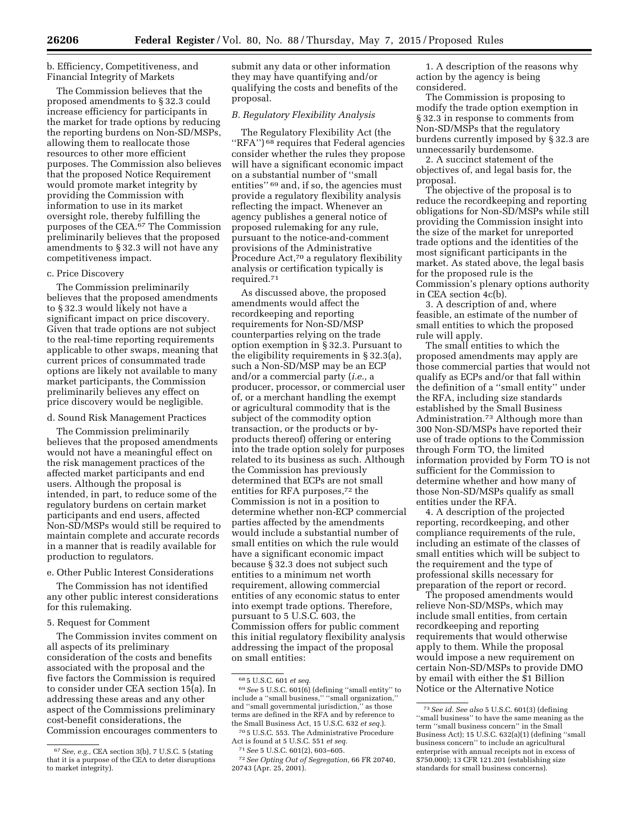### b. Efficiency, Competitiveness, and Financial Integrity of Markets

The Commission believes that the proposed amendments to § 32.3 could increase efficiency for participants in the market for trade options by reducing the reporting burdens on Non-SD/MSPs, allowing them to reallocate those resources to other more efficient purposes. The Commission also believes that the proposed Notice Requirement would promote market integrity by providing the Commission with information to use in its market oversight role, thereby fulfilling the purposes of the CEA.67 The Commission preliminarily believes that the proposed amendments to § 32.3 will not have any competitiveness impact.

### c. Price Discovery

The Commission preliminarily believes that the proposed amendments to § 32.3 would likely not have a significant impact on price discovery. Given that trade options are not subject to the real-time reporting requirements applicable to other swaps, meaning that current prices of consummated trade options are likely not available to many market participants, the Commission preliminarily believes any effect on price discovery would be negligible.

d. Sound Risk Management Practices

The Commission preliminarily believes that the proposed amendments would not have a meaningful effect on the risk management practices of the affected market participants and end users. Although the proposal is intended, in part, to reduce some of the regulatory burdens on certain market participants and end users, affected Non-SD/MSPs would still be required to maintain complete and accurate records in a manner that is readily available for production to regulators.

#### e. Other Public Interest Considerations

The Commission has not identified any other public interest considerations for this rulemaking.

### 5. Request for Comment

The Commission invites comment on all aspects of its preliminary consideration of the costs and benefits associated with the proposal and the five factors the Commission is required to consider under CEA section 15(a). In addressing these areas and any other aspect of the Commissions preliminary cost-benefit considerations, the Commission encourages commenters to

submit any data or other information they may have quantifying and/or qualifying the costs and benefits of the proposal.

#### *B. Regulatory Flexibility Analysis*

The Regulatory Flexibility Act (the "RFA") <sup>68</sup> requires that Federal agencies consider whether the rules they propose will have a significant economic impact on a substantial number of ''small entities'' 69 and, if so, the agencies must provide a regulatory flexibility analysis reflecting the impact. Whenever an agency publishes a general notice of proposed rulemaking for any rule, pursuant to the notice-and-comment provisions of the Administrative Procedure Act,<sup>70</sup> a regulatory flexibility analysis or certification typically is required.71

As discussed above, the proposed amendments would affect the recordkeeping and reporting requirements for Non-SD/MSP counterparties relying on the trade option exemption in § 32.3. Pursuant to the eligibility requirements in § 32.3(a), such a Non-SD/MSP may be an ECP and/or a commercial party (*i.e.,* a producer, processor, or commercial user of, or a merchant handling the exempt or agricultural commodity that is the subject of the commodity option transaction, or the products or byproducts thereof) offering or entering into the trade option solely for purposes related to its business as such. Although the Commission has previously determined that ECPs are not small entities for RFA purposes,72 the Commission is not in a position to determine whether non-ECP commercial parties affected by the amendments would include a substantial number of small entities on which the rule would have a significant economic impact because § 32.3 does not subject such entities to a minimum net worth requirement, allowing commercial entities of any economic status to enter into exempt trade options. Therefore, pursuant to 5 U.S.C. 603, the Commission offers for public comment this initial regulatory flexibility analysis addressing the impact of the proposal on small entities:

1. A description of the reasons why action by the agency is being considered.

The Commission is proposing to modify the trade option exemption in § 32.3 in response to comments from Non-SD/MSPs that the regulatory burdens currently imposed by § 32.3 are unnecessarily burdensome.

2. A succinct statement of the objectives of, and legal basis for, the proposal.

The objective of the proposal is to reduce the recordkeeping and reporting obligations for Non-SD/MSPs while still providing the Commission insight into the size of the market for unreported trade options and the identities of the most significant participants in the market. As stated above, the legal basis for the proposed rule is the Commission's plenary options authority in CEA section 4c(b).

3. A description of and, where feasible, an estimate of the number of small entities to which the proposed rule will apply.

The small entities to which the proposed amendments may apply are those commercial parties that would not qualify as ECPs and/or that fall within the definition of a ''small entity'' under the RFA, including size standards established by the Small Business Administration.73 Although more than 300 Non-SD/MSPs have reported their use of trade options to the Commission through Form TO, the limited information provided by Form TO is not sufficient for the Commission to determine whether and how many of those Non-SD/MSPs qualify as small entities under the RFA.

4. A description of the projected reporting, recordkeeping, and other compliance requirements of the rule, including an estimate of the classes of small entities which will be subject to the requirement and the type of professional skills necessary for preparation of the report or record.

The proposed amendments would relieve Non-SD/MSPs, which may include small entities, from certain recordkeeping and reporting requirements that would otherwise apply to them. While the proposal would impose a new requirement on certain Non-SD/MSPs to provide DMO by email with either the \$1 Billion Notice or the Alternative Notice

<sup>67</sup>*See, e.g.,* CEA section 3(b), 7 U.S.C. 5 (stating that it is a purpose of the CEA to deter disruptions to market integrity).

<sup>68</sup> 5 U.S.C. 601 *et seq.* 

<sup>69</sup>*See* 5 U.S.C. 601(6) (defining ''small entity'' to include a ''small business,'' ''small organization,'' and ''small governmental jurisdiction,'' as those terms are defined in the RFA and by reference to the Small Business Act, 15 U.S.C. 632 *et seq.*).

<sup>70</sup> 5 U.S.C. 553. The Administrative Procedure Act is found at 5 U.S.C. 551 *et seq.*  71*See* 5 U.S.C. 601(2), 603–605.

<sup>72</sup>*See Opting Out of Segregation,* 66 FR 20740, 20743 (Apr. 25, 2001).

<sup>73</sup>*See id. See also* 5 U.S.C. 601(3) (defining ''small business'' to have the same meaning as the term ''small business concern'' in the Small Business Act); 15 U.S.C. 632(a)(1) (defining ''small business concern'' to include an agricultural enterprise with annual receipts not in excess of \$750,000); 13 CFR 121.201 (establishing size standards for small business concerns).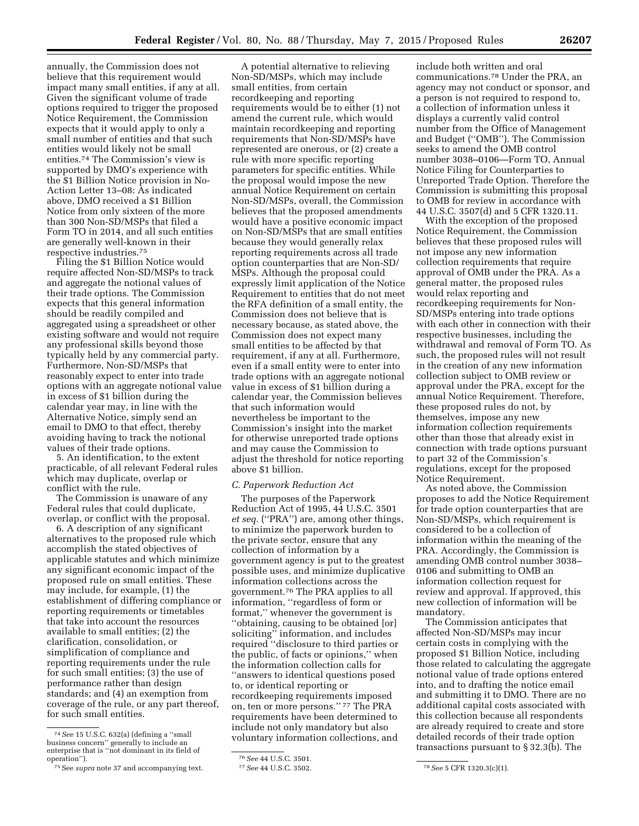annually, the Commission does not believe that this requirement would impact many small entities, if any at all. Given the significant volume of trade options required to trigger the proposed Notice Requirement, the Commission expects that it would apply to only a small number of entities and that such entities would likely not be small entities.74 The Commission's view is supported by DMO's experience with the \$1 Billion Notice provision in No-Action Letter 13–08: As indicated above, DMO received a \$1 Billion Notice from only sixteen of the more than 300 Non-SD/MSPs that filed a Form TO in 2014, and all such entities are generally well-known in their respective industries.75

Filing the \$1 Billion Notice would require affected Non-SD/MSPs to track and aggregate the notional values of their trade options. The Commission expects that this general information should be readily compiled and aggregated using a spreadsheet or other existing software and would not require any professional skills beyond those typically held by any commercial party. Furthermore, Non-SD/MSPs that reasonably expect to enter into trade options with an aggregate notional value in excess of \$1 billion during the calendar year may, in line with the Alternative Notice, simply send an email to DMO to that effect, thereby avoiding having to track the notional values of their trade options.

5. An identification, to the extent practicable, of all relevant Federal rules which may duplicate, overlap or conflict with the rule.

The Commission is unaware of any Federal rules that could duplicate, overlap, or conflict with the proposal.

6. A description of any significant alternatives to the proposed rule which accomplish the stated objectives of applicable statutes and which minimize any significant economic impact of the proposed rule on small entities. These may include, for example, (1) the establishment of differing compliance or reporting requirements or timetables that take into account the resources available to small entities; (2) the clarification, consolidation, or simplification of compliance and reporting requirements under the rule for such small entities; (3) the use of performance rather than design standards; and (4) an exemption from coverage of the rule, or any part thereof, for such small entities.

A potential alternative to relieving Non-SD/MSPs, which may include small entities, from certain recordkeeping and reporting requirements would be to either (1) not amend the current rule, which would maintain recordkeeping and reporting requirements that Non-SD/MSPs have represented are onerous, or (2) create a rule with more specific reporting parameters for specific entities. While the proposal would impose the new annual Notice Requirement on certain Non-SD/MSPs, overall, the Commission believes that the proposed amendments would have a positive economic impact on Non-SD/MSPs that are small entities because they would generally relax reporting requirements across all trade option counterparties that are Non-SD/ MSPs. Although the proposal could expressly limit application of the Notice Requirement to entities that do not meet the RFA definition of a small entity, the Commission does not believe that is necessary because, as stated above, the Commission does not expect many small entities to be affected by that requirement, if any at all. Furthermore, even if a small entity were to enter into trade options with an aggregate notional value in excess of \$1 billion during a calendar year, the Commission believes that such information would nevertheless be important to the Commission's insight into the market for otherwise unreported trade options and may cause the Commission to adjust the threshold for notice reporting above \$1 billion.

### *C. Paperwork Reduction Act*

The purposes of the Paperwork Reduction Act of 1995, 44 U.S.C. 3501 *et seq.* (''PRA'') are, among other things, to minimize the paperwork burden to the private sector, ensure that any collection of information by a government agency is put to the greatest possible uses, and minimize duplicative information collections across the government.76 The PRA applies to all information, ''regardless of form or format,'' whenever the government is ''obtaining, causing to be obtained [or] soliciting'' information, and includes required ''disclosure to third parties or the public, of facts or opinions,'' when the information collection calls for ''answers to identical questions posed to, or identical reporting or recordkeeping requirements imposed on, ten or more persons.'' 77 The PRA requirements have been determined to include not only mandatory but also voluntary information collections, and

include both written and oral communications.78 Under the PRA, an agency may not conduct or sponsor, and a person is not required to respond to, a collection of information unless it displays a currently valid control number from the Office of Management and Budget (''OMB''). The Commission seeks to amend the OMB control number 3038–0106—Form TO, Annual Notice Filing for Counterparties to Unreported Trade Option. Therefore the Commission is submitting this proposal to OMB for review in accordance with 44 U.S.C. 3507(d) and 5 CFR 1320.11.

With the exception of the proposed Notice Requirement, the Commission believes that these proposed rules will not impose any new information collection requirements that require approval of OMB under the PRA. As a general matter, the proposed rules would relax reporting and recordkeeping requirements for Non-SD/MSPs entering into trade options with each other in connection with their respective businesses, including the withdrawal and removal of Form TO. As such, the proposed rules will not result in the creation of any new information collection subject to OMB review or approval under the PRA, except for the annual Notice Requirement. Therefore, these proposed rules do not, by themselves, impose any new information collection requirements other than those that already exist in connection with trade options pursuant to part 32 of the Commission's regulations, except for the proposed Notice Requirement.

As noted above, the Commission proposes to add the Notice Requirement for trade option counterparties that are Non-SD/MSPs, which requirement is considered to be a collection of information within the meaning of the PRA. Accordingly, the Commission is amending OMB control number 3038– 0106 and submitting to OMB an information collection request for review and approval. If approved, this new collection of information will be mandatory.

The Commission anticipates that affected Non-SD/MSPs may incur certain costs in complying with the proposed \$1 Billion Notice, including those related to calculating the aggregate notional value of trade options entered into, and to drafting the notice email and submitting it to DMO. There are no additional capital costs associated with this collection because all respondents are already required to create and store detailed records of their trade option transactions pursuant to § 32.3(b). The

<sup>74</sup>*See* 15 U.S.C. 632(a) (defining a ''small business concern'' generally to include an enterprise that is ''not dominant in its field of operation''). 75See *supra* note 37 and accompanying text.

<sup>76</sup>*See* 44 U.S.C. 3501.

<sup>77</sup>*See* 44 U.S.C. 3502. 78*See* 5 CFR 1320.3(c)(1).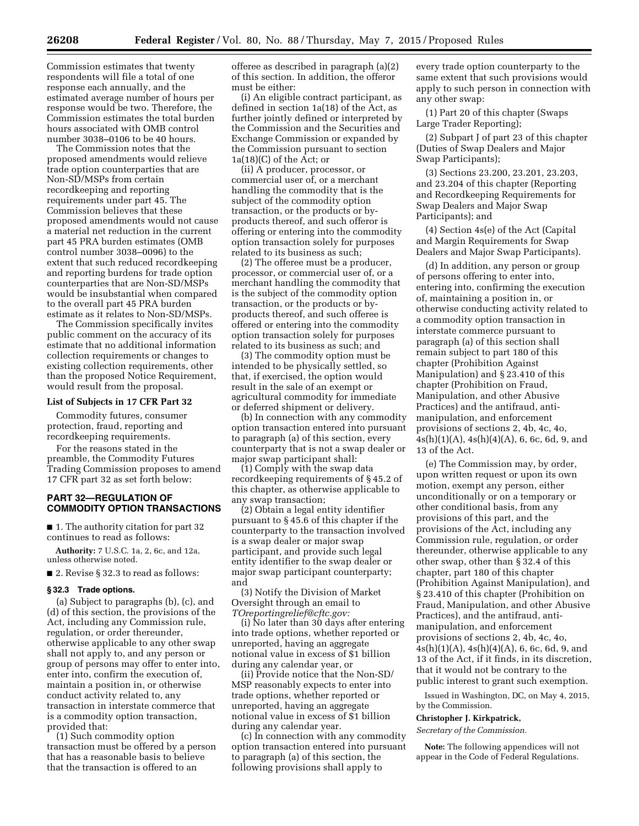Commission estimates that twenty respondents will file a total of one response each annually, and the estimated average number of hours per response would be two. Therefore, the Commission estimates the total burden hours associated with OMB control number 3038–0106 to be 40 hours.

The Commission notes that the proposed amendments would relieve trade option counterparties that are Non-SD/MSPs from certain recordkeeping and reporting requirements under part 45. The Commission believes that these proposed amendments would not cause a material net reduction in the current part 45 PRA burden estimates (OMB control number 3038–0096) to the extent that such reduced recordkeeping and reporting burdens for trade option counterparties that are Non-SD/MSPs would be insubstantial when compared to the overall part 45 PRA burden estimate as it relates to Non-SD/MSPs.

The Commission specifically invites public comment on the accuracy of its estimate that no additional information collection requirements or changes to existing collection requirements, other than the proposed Notice Requirement, would result from the proposal.

## **List of Subjects in 17 CFR Part 32**

Commodity futures, consumer protection, fraud, reporting and recordkeeping requirements.

For the reasons stated in the preamble, the Commodity Futures Trading Commission proposes to amend 17 CFR part 32 as set forth below:

### **PART 32—REGULATION OF COMMODITY OPTION TRANSACTIONS**

■ 1. The authority citation for part 32 continues to read as follows:

**Authority:** 7 U.S.C. 1a, 2, 6c, and 12a, unless otherwise noted.

■ 2. Revise § 32.3 to read as follows:

### **§ 32.3 Trade options.**

(a) Subject to paragraphs (b), (c), and (d) of this section, the provisions of the Act, including any Commission rule, regulation, or order thereunder, otherwise applicable to any other swap shall not apply to, and any person or group of persons may offer to enter into, enter into, confirm the execution of, maintain a position in, or otherwise conduct activity related to, any transaction in interstate commerce that is a commodity option transaction, provided that:

(1) Such commodity option transaction must be offered by a person that has a reasonable basis to believe that the transaction is offered to an

offeree as described in paragraph (a)(2) of this section. In addition, the offeror must be either:

(i) An eligible contract participant, as defined in section 1a(18) of the Act, as further jointly defined or interpreted by the Commission and the Securities and Exchange Commission or expanded by the Commission pursuant to section  $1a(18)(C)$  of the Act; or

(ii) A producer, processor, or commercial user of, or a merchant handling the commodity that is the subject of the commodity option transaction, or the products or byproducts thereof, and such offeror is offering or entering into the commodity option transaction solely for purposes related to its business as such;

(2) The offeree must be a producer, processor, or commercial user of, or a merchant handling the commodity that is the subject of the commodity option transaction, or the products or byproducts thereof, and such offeree is offered or entering into the commodity option transaction solely for purposes related to its business as such; and

(3) The commodity option must be intended to be physically settled, so that, if exercised, the option would result in the sale of an exempt or agricultural commodity for immediate or deferred shipment or delivery.

(b) In connection with any commodity option transaction entered into pursuant to paragraph (a) of this section, every counterparty that is not a swap dealer or major swap participant shall:

(1) Comply with the swap data recordkeeping requirements of § 45.2 of this chapter, as otherwise applicable to any swap transaction;

(2) Obtain a legal entity identifier pursuant to § 45.6 of this chapter if the counterparty to the transaction involved is a swap dealer or major swap participant, and provide such legal entity identifier to the swap dealer or major swap participant counterparty; and

(3) Notify the Division of Market Oversight through an email to *[TOreportingrelief@cftc.gov:](mailto:TOreportingrelief@cftc.gov)* 

(i) No later than 30 days after entering into trade options, whether reported or unreported, having an aggregate notional value in excess of \$1 billion during any calendar year, or

(ii) Provide notice that the Non-SD/ MSP reasonably expects to enter into trade options, whether reported or unreported, having an aggregate notional value in excess of \$1 billion during any calendar year.

(c) In connection with any commodity option transaction entered into pursuant to paragraph (a) of this section, the following provisions shall apply to

every trade option counterparty to the same extent that such provisions would apply to such person in connection with any other swap:

(1) Part 20 of this chapter (Swaps Large Trader Reporting);

(2) Subpart J of part 23 of this chapter (Duties of Swap Dealers and Major Swap Participants);

(3) Sections 23.200, 23.201, 23.203, and 23.204 of this chapter (Reporting and Recordkeeping Requirements for Swap Dealers and Major Swap Participants); and

(4) Section 4s(e) of the Act (Capital and Margin Requirements for Swap Dealers and Major Swap Participants).

(d) In addition, any person or group of persons offering to enter into, entering into, confirming the execution of, maintaining a position in, or otherwise conducting activity related to a commodity option transaction in interstate commerce pursuant to paragraph (a) of this section shall remain subject to part 180 of this chapter (Prohibition Against Manipulation) and § 23.410 of this chapter (Prohibition on Fraud, Manipulation, and other Abusive Practices) and the antifraud, antimanipulation, and enforcement provisions of sections 2, 4b, 4c, 4o,  $4s(h)(1)(A)$ ,  $4s(h)(4)(A)$ , 6, 6c, 6d, 9, and 13 of the Act.

(e) The Commission may, by order, upon written request or upon its own motion, exempt any person, either unconditionally or on a temporary or other conditional basis, from any provisions of this part, and the provisions of the Act, including any Commission rule, regulation, or order thereunder, otherwise applicable to any other swap, other than § 32.4 of this chapter, part 180 of this chapter (Prohibition Against Manipulation), and § 23.410 of this chapter (Prohibition on Fraud, Manipulation, and other Abusive Practices), and the antifraud, antimanipulation, and enforcement provisions of sections 2, 4b, 4c, 4o,  $4s(h)(1)(A), 4s(h)(4)(A), 6, 6c, 6d, 9, and$ 13 of the Act, if it finds, in its discretion, that it would not be contrary to the public interest to grant such exemption.

Issued in Washington, DC, on May 4, 2015, by the Commission.

### **Christopher J. Kirkpatrick,**

*Secretary of the Commission.* 

**Note:** The following appendices will not appear in the Code of Federal Regulations.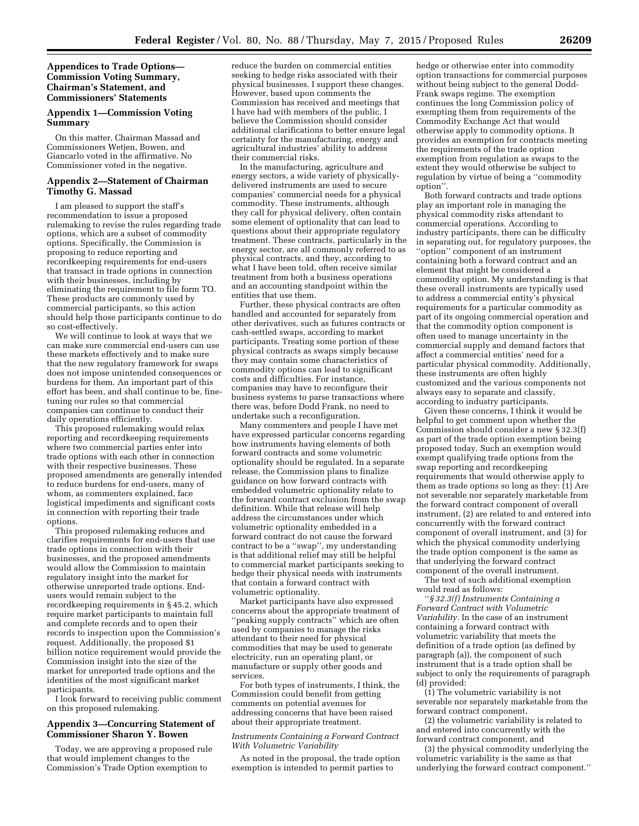**Appendices to Trade Options— Commission Voting Summary, Chairman's Statement, and Commissioners' Statements** 

## **Appendix 1—Commission Voting Summary**

On this matter, Chairman Massad and Commissioners Wetjen, Bowen, and Giancarlo voted in the affirmative. No Commissioner voted in the negative.

#### **Appendix 2—Statement of Chairman Timothy G. Massad**

I am pleased to support the staff's recommendation to issue a proposed rulemaking to revise the rules regarding trade options, which are a subset of commodity options. Specifically, the Commission is proposing to reduce reporting and recordkeeping requirements for end-users that transact in trade options in connection with their businesses, including by eliminating the requirement to file form TO. These products are commonly used by commercial participants, so this action should help those participants continue to do so cost-effectively.

We will continue to look at ways that we can make sure commercial end-users can use these markets effectively and to make sure that the new regulatory framework for swaps does not impose unintended consequences or burdens for them. An important part of this effort has been, and shall continue to be, finetuning our rules so that commercial companies can continue to conduct their daily operations efficiently.

This proposed rulemaking would relax reporting and recordkeeping requirements where two commercial parties enter into trade options with each other in connection with their respective businesses. These proposed amendments are generally intended to reduce burdens for end-users, many of whom, as commenters explained, face logistical impediments and significant costs in connection with reporting their trade options.

This proposed rulemaking reduces and clarifies requirements for end-users that use trade options in connection with their businesses, and the proposed amendments would allow the Commission to maintain regulatory insight into the market for otherwise unreported trade options. Endusers would remain subject to the recordkeeping requirements in § 45.2, which require market participants to maintain full and complete records and to open their records to inspection upon the Commission's request. Additionally, the proposed \$1 billion notice requirement would provide the Commission insight into the size of the market for unreported trade options and the identities of the most significant market participants.

I look forward to receiving public comment on this proposed rulemaking.

## **Appendix 3—Concurring Statement of Commissioner Sharon Y. Bowen**

Today, we are approving a proposed rule that would implement changes to the Commission's Trade Option exemption to

reduce the burden on commercial entities seeking to hedge risks associated with their physical businesses. I support these changes. However, based upon comments the Commission has received and meetings that I have had with members of the public, I believe the Commission should consider additional clarifications to better ensure legal certainty for the manufacturing, energy and agricultural industries' ability to address their commercial risks.

In the manufacturing, agriculture and energy sectors, a wide variety of physicallydelivered instruments are used to secure companies' commercial needs for a physical commodity. These instruments, although they call for physical delivery, often contain some element of optionality that can lead to questions about their appropriate regulatory treatment. These contracts, particularly in the energy sector, are all commonly referred to as physical contracts, and they, according to what I have been told, often receive similar treatment from both a business operations and an accounting standpoint within the entities that use them.

Further, these physical contracts are often handled and accounted for separately from other derivatives, such as futures contracts or cash-settled swaps, according to market participants. Treating some portion of these physical contracts as swaps simply because they may contain some characteristics of commodity options can lead to significant costs and difficulties. For instance, companies may have to reconfigure their business systems to parse transactions where there was, before Dodd Frank, no need to undertake such a reconfiguration.

Many commenters and people I have met have expressed particular concerns regarding how instruments having elements of both forward contracts and some volumetric optionality should be regulated. In a separate release, the Commission plans to finalize guidance on how forward contracts with embedded volumetric optionality relate to the forward contract exclusion from the swap definition. While that release will help address the circumstances under which volumetric optionality embedded in a forward contract do not cause the forward contract to be a ''swap'', my understanding is that additional relief may still be helpful to commercial market participants seeking to hedge their physical needs with instruments that contain a forward contract with volumetric optionality.

Market participants have also expressed concerns about the appropriate treatment of ''peaking supply contracts'' which are often used by companies to manage the risks attendant to their need for physical commodities that may be used to generate electricity, run an operating plant, or manufacture or supply other goods and services.

For both types of instruments, I think, the Commission could benefit from getting comments on potential avenues for addressing concerns that have been raised about their appropriate treatment.

#### *Instruments Containing a Forward Contract With Volumetric Variability*

As noted in the proposal, the trade option exemption is intended to permit parties to

hedge or otherwise enter into commodity option transactions for commercial purposes without being subject to the general Dodd-Frank swaps regime. The exemption continues the long Commission policy of exempting them from requirements of the Commodity Exchange Act that would otherwise apply to commodity options. It provides an exemption for contracts meeting the requirements of the trade option exemption from regulation as swaps to the extent they would otherwise be subject to regulation by virtue of being a ''commodity option''.

Both forward contracts and trade options play an important role in managing the physical commodity risks attendant to commercial operations. According to industry participants, there can be difficulty in separating out, for regulatory purposes, the ''option'' component of an instrument containing both a forward contract and an element that might be considered a commodity option. My understanding is that these overall instruments are typically used to address a commercial entity's physical requirements for a particular commodity as part of its ongoing commercial operation and that the commodity option component is often used to manage uncertainty in the commercial supply and demand factors that affect a commercial entities' need for a particular physical commodity. Additionally, these instruments are often highly customized and the various components not always easy to separate and classify, according to industry participants.

Given these concerns, I think it would be helpful to get comment upon whether the Commission should consider a new § 32.3(f) as part of the trade option exemption being proposed today. Such an exemption would exempt qualifying trade options from the swap reporting and recordkeeping requirements that would otherwise apply to them as trade options so long as they: (1) Are not severable nor separately marketable from the forward contract component of overall instrument, (2) are related to and entered into concurrently with the forward contract component of overall instrument, and (3) for which the physical commodity underlying the trade option component is the same as that underlying the forward contract component of the overall instrument.

The text of such additional exemption would read as follows:

''*§ 32.3(f) Instruments Containing a Forward Contract with Volumetric Variability.* In the case of an instrument containing a forward contract with volumetric variability that meets the definition of a trade option (as defined by paragraph (a)), the component of such instrument that is a trade option shall be subject to only the requirements of paragraph (d) provided:

(1) The volumetric variability is not severable nor separately marketable from the forward contract component,

(2) the volumetric variability is related to and entered into concurrently with the forward contract component, and

(3) the physical commodity underlying the volumetric variability is the same as that underlying the forward contract component.''